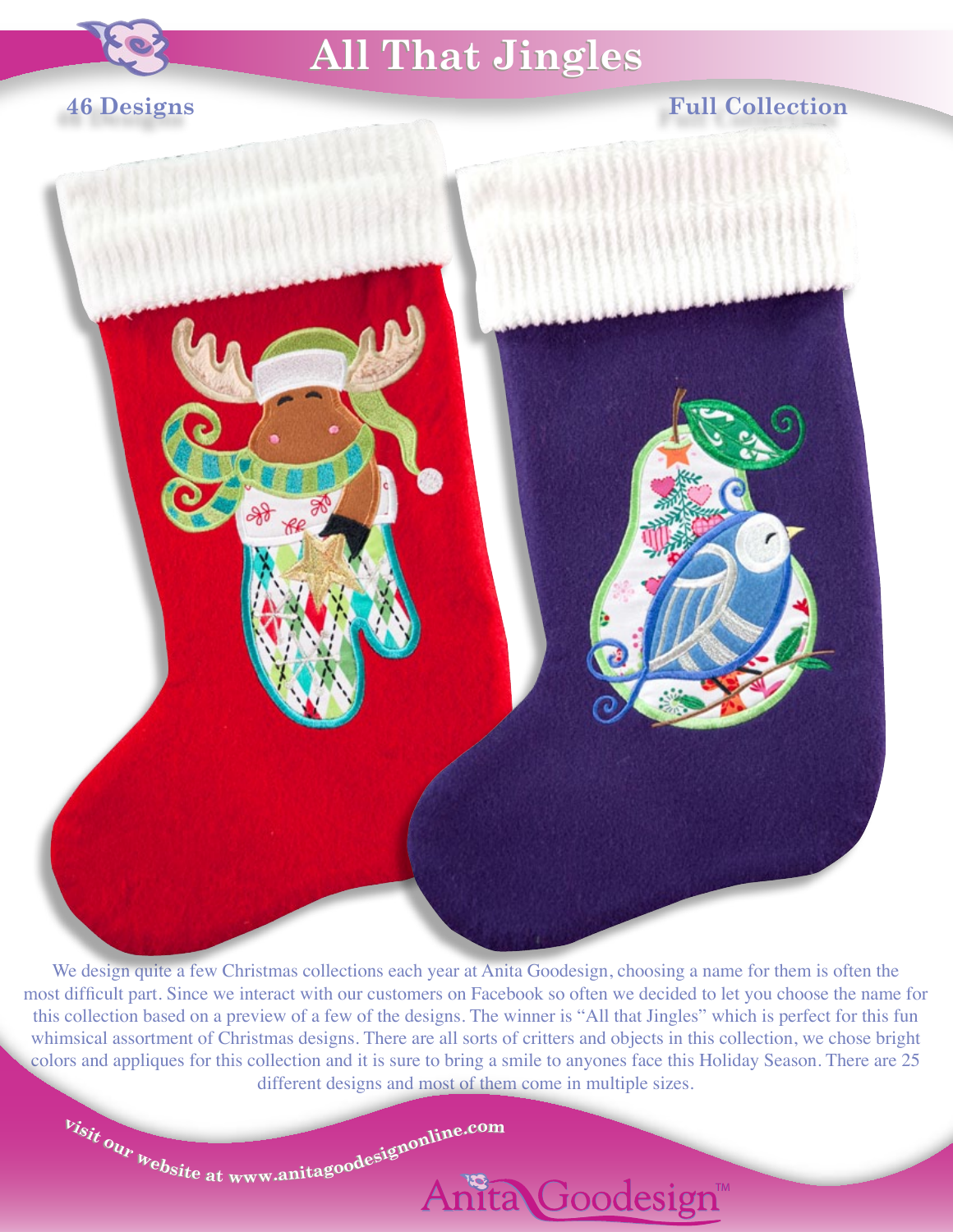

## **All That Jingles All That Jingles**

## **46 Designs**

## **Full Collection**



We design quite a few Christmas collections each year at Anita Goodesign, choosing a name for them is often the most difficult part. Since we interact with our customers on Facebook so often we decided to let you choose the name for this collection based on a preview of a few of the designs. The winner is "All that Jingles" which is perfect for this fun whimsical assortment of Christmas designs. There are all sorts of critters and objects in this collection, we chose bright colors and appliques for this collection and it is sure to bring a smile to anyones face this Holiday Season. There are 25 different designs and most of them come in multiple sizes.

 $v_{isit}$  our  $v_{\text{e}bsite$  at www.anitagoodesignonline.com

Anita Goodesign